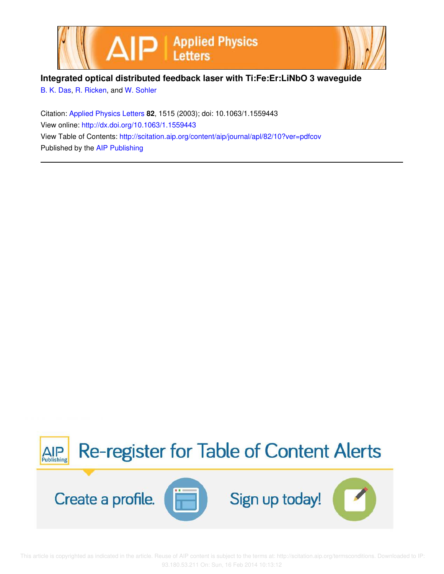

**Integrated optical distributed feedback laser with Ti:Fe:Er:LiNbO 3 waveguide**

B. K. Das, R. Ricken, and W. Sohler

Citation: Applied Physics Letters **82**, 1515 (2003); doi: 10.1063/1.1559443 View online: http://dx.doi.org/10.1063/1.1559443 View Table of Contents: http://scitation.aip.org/content/aip/journal/apl/82/10?ver=pdfcov Published by the AIP Publishing



 This article is copyrighted as indicated in the article. Reuse of AIP content is subject to the terms at: http://scitation.aip.org/termsconditions. Downloaded to IP: 93.180.53.211 On: Sun, 16 Feb 2014 10:13:12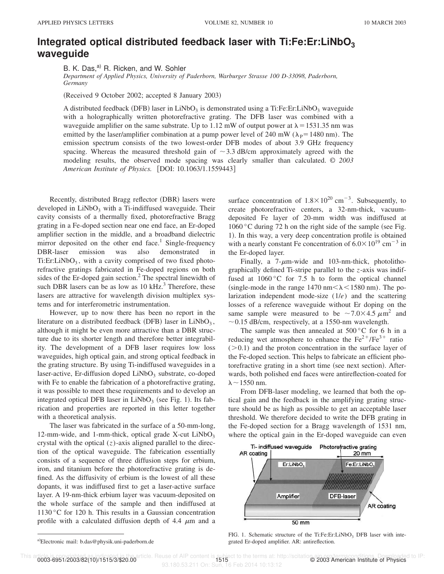## **Integrated optical distributed feedback laser with Ti:Fe:Er:LiNbO<sup>3</sup> waveguide**

B. K. Das,<sup>a)</sup> R. Ricken, and W. Sohler

*Department of Applied Physics, University of Paderborn, Warburger Strasse 100 D-33098, Paderborn, Germany*

(Received 9 October 2002; accepted 8 January 2003)

A distributed feedback (DFB) laser in LiNbO<sub>3</sub> is demonstrated using a Ti:Fe:Er:LiNbO<sub>3</sub> waveguide with a holographically written photorefractive grating. The DFB laser was combined with a waveguide amplifier on the same substrate. Up to 1.12 mW of output power at  $\lambda = 1531.35$  nm was emitted by the laser/amplifier combination at a pump power level of 240 mW ( $\lambda$ <sub>P</sub>=1480 nm). The emission spectrum consists of the two lowest-order DFB modes of about 3.9 GHz frequency spacing. Whereas the measured threshold gain of  $\sim$  3.3 dB/cm approximately agreed with the modeling results, the observed mode spacing was clearly smaller than calculated. © *2003 American Institute of Physics.* [DOI: 10.1063/1.1559443]

Recently, distributed Bragg reflector (DBR) lasers were developed in  $LiNbO<sub>3</sub>$  with a Ti-indiffused waveguide. Their cavity consists of a thermally fixed, photorefractive Bragg grating in a Fe-doped section near one end face, an Er-doped amplifier section in the middle, and a broadband dielectric mirror deposited on the other end face.<sup>1</sup> Single-frequency DBR-laser emission was also demonstrated in Ti:Er:LiNbO<sub>3</sub>, with a cavity comprised of two fixed photorefractive gratings fabricated in Fe-doped regions on both sides of the Er-doped gain section.<sup>2</sup> The spectral linewidth of such DBR lasers can be as low as  $10 \text{ kHz}^3$ . Therefore, these lasers are attractive for wavelength division multiplex systems and for interferometric instrumentation.

However, up to now there has been no report in the literature on a distributed feedback (DFB) laser in  $LiNbO<sub>3</sub>$ , although it might be even more attractive than a DBR structure due to its shorter length and therefore better integrability. The development of a DFB laser requires low loss waveguides, high optical gain, and strong optical feedback in the grating structure. By using Ti-indiffused waveguides in a laser-active, Er-diffusion doped  $\text{LiNbO}_3$  substrate, co-doped with Fe to enable the fabrication of a photorefractive grating, it was possible to meet these requirements and to develop an integrated optical DFB laser in  $LiNbO<sub>3</sub>$  (see Fig. 1). Its fabrication and properties are reported in this letter together with a theoretical analysis.

The laser was fabricated in the surface of a 50-mm-long, 12-mm-wide, and 1-mm-thick, optical grade X-cut  $LiNbO<sub>3</sub>$ crystal with the optical  $(z)$ -axis aligned parallel to the direction of the optical waveguide. The fabrication essentially consists of a sequence of three diffusion steps for erbium, iron, and titanium before the photorefractive grating is defined. As the diffusivity of erbium is the lowest of all these dopants, it was indiffused first to get a laser-active surface layer. A 19-nm-thick erbium layer was vacuum-deposited on the whole surface of the sample and then indiffused at 1130 °C for 120 h. This results in a Gaussian concentration profile with a calculated diffusion depth of 4.4  $\mu$ m and a

surface concentration of  $1.8 \times 10^{20}$  cm<sup>-3</sup>. Subsequently, to create photorefractive centers, a 32-nm-thick, vacuumdeposited Fe layer of 20-mm width was indiffused at 1060 °C during 72 h on the right side of the sample (see Fig. 1). In this way, a very deep concentration profile is obtained with a nearly constant Fe concentration of  $6.0 \times 10^{19}$  cm<sup>-3</sup> in the Er-doped layer.

Finally, a  $7-\mu$ m-wide and 103-nm-thick, photolithographically defined Ti-stripe parallel to the *z*-axis was indiffused at 1060 °C for 7.5 h to form the optical channel (single-mode in the range 1470 nm $< \lambda$  < 1580 nm). The polarization independent mode-size (1/*e*) and the scattering losses of a reference waveguide without Er doping on the same sample were measured to be  $\sim$  7.0×4.5  $\mu$ m<sup>2</sup> and  $\sim$  0.15 dB/cm, respectively, at a 1550-nm wavelength.

The sample was then annealed at  $500\,^{\circ}$ C for 6 h in a reducing wet atmosphere to enhance the  $Fe^{2+}/Fe^{3+}$  ratio  $(0.1)$  and the proton concentration in the surface layer of the Fe-doped section. This helps to fabricate an efficient photorefractive grating in a short time (see next section). Afterwards, both polished end faces were antireflection-coated for  $\lambda \sim 1550$  nm.

From DFB-laser modeling, we learned that both the optical gain and the feedback in the amplifying grating structure should be as high as possible to get an acceptable laser threshold. We therefore decided to write the DFB grating in the Fe-doped section for a Bragg wavelength of 1531 nm, where the optical gain in the Er-doped waveguide can even



FIG. 1. Schematic structure of the Ti:Fe:Er:LiNbO<sub>3</sub> DFB laser with integrated Er-doped amplifier. AR: antireflection.

1993-6951/2003/82(10)/1515/3/\$20.00 article. Reuse of AIP content is subject to the terms at: http://scitation.com/seconditions. Downloaded to IP:<br>2015 - 1994 1995 1996 1997 1994 1995 1996 1997 1994 1995 1996 1997 1999 199 93.180.53.211 On: Sun, 16 Feb 2014 10:13:12

a)Electronic mail: b.das@physik.uni-paderborn.de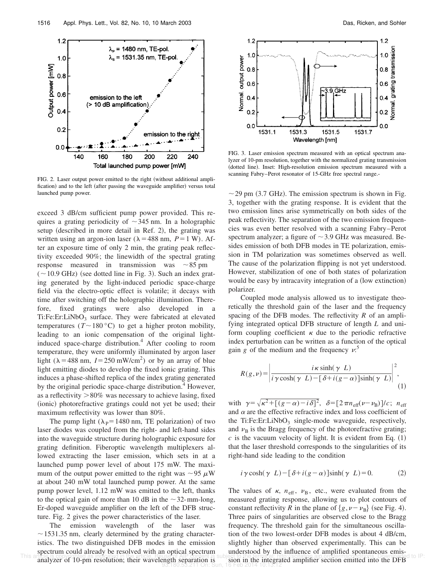

FIG. 2. Laser output power emitted to the right (without additional amplification) and to the left (after passing the waveguide amplifier) versus total launched pump power.

exceed 3 dB/cm sufficient pump power provided. This requires a grating periodicity of  $\sim$ 345 nm. In a holographic setup (described in more detail in Ref. 2), the grating was written using an argon-ion laser ( $\lambda$  = 488 nm, *P* = 1 W). After an exposure time of only 2 min, the grating peak reflectivity exceeded 90%; the linewidth of the spectral grating response measured in transmission was  $\sim 85$  pm  $(-10.9$  GHz) (see dotted line in Fig. 3). Such an index grating generated by the light-induced periodic space-charge field via the electro-optic effect is volatile; it decays with time after switching off the holographic illumination. Therefore, fixed gratings were also developed in a Ti:Fe:Er:LiNbO<sub>3</sub> surface. They were fabricated at elevated temperatures ( $T \sim 180 \degree C$ ) to get a higher proton mobility, leading to an ionic compensation of the original lightinduced space-charge distribution.<sup>4</sup> After cooling to room temperature, they were uniformly illuminated by argon laser light ( $\lambda$  = 488 nm, *I* = 250 mW/cm<sup>2</sup>) or by an array of blue light emitting diodes to develop the fixed ionic grating. This induces a phase-shifted replica of the index grating generated by the original periodic space-charge distribution.<sup>4</sup> However, as a reflectivity  $>80\%$  was necessary to achieve lasing, fixed (ionic) photorefractive gratings could not yet be used; their maximum reflectivity was lower than 80%.

The pump light ( $\lambda$ <sub>P</sub>=1480 nm, TE polarization) of two laser diodes was coupled from the right- and left-hand sides into the waveguide structure during holographic exposure for grating definition. Fiberoptic wavelength multiplexers allowed extracting the laser emission, which sets in at a launched pump power level of about 175 mW. The maximum of the output power emitted to the right was  $\sim$ 95  $\mu$ W at about 240 mW total launched pump power. At the same pump power level, 1.12 mW was emitted to the left, thanks to the optical gain of more than 10 dB in the  $\sim$ 32-mm-long, Er-doped waveguide amplifier on the left of the DFB structure. Fig. 2 gives the power characteristics of the laser.

The emission wavelength of the laser was  $\sim$  1531.35 nm, clearly determined by the grating characteristics. The two distinguished DFB modes in the emission spectrum could already be resolved with an optical spectrum



FIG. 3. Laser emission spectrum measured with an optical spectrum analyzer of 10-pm resolution, together with the normalized grating transmission (dotted line). Inset: High-resolution emission spectrum measured with a scanning Fabry–Perot resonator of 15-GHz free spectral range.-

 $\sim$  29 pm (3.7 GHz). The emission spectrum is shown in Fig. 3, together with the grating response. It is evident that the two emission lines arise symmetrically on both sides of the peak reflectivity. The separation of the two emission frequencies was even better resolved with a scanning Fabry–Perot spectrum analyzer; a figure of  $\sim$  3.9 GHz was measured. Besides emission of both DFB modes in TE polarization, emission in TM polarization was sometimes observed as well. The cause of the polarization flipping is not yet understood. However, stabilization of one of both states of polarization would be easy by intracavity integration of a (low extinction) polarizer.

Coupled mode analysis allowed us to investigate theoretically the threshold gain of the laser and the frequency spacing of the DFB modes. The reflectivity *R* of an amplifying integrated optical DFB structure of length *L* and uniform coupling coefficient  $\kappa$  due to the periodic refractive index perturbation can be written as a function of the optical gain *g* of the medium and the frequency  $v$ <sup>5</sup>

$$
R(g,\nu) = \left| \frac{i\kappa \sinh(\gamma L)}{i\gamma \cosh(\gamma L) - [\delta + i(g-\alpha)]\sinh(\gamma L)} \right|^2,
$$
\n(1)

with  $\gamma = \sqrt{\kappa^2 + [(g - \alpha) - i \delta]^2}$ ,  $\delta = [2 \pi n_{\text{eff}}(\nu - \nu_B)]/c$ ;  $n_{\text{eff}}$ and  $\alpha$  are the effective refractive index and loss coefficient of the Ti:Fe:Er:LiNbO<sub>3</sub> single-mode waveguide, respectively, and  $v_B$  is the Bragg frequency of the photorefractive grating;  $c$  is the vacuum velocity of light. It is evident from Eq.  $(1)$ that the laser threshold corresponds to the singularities of its right-hand side leading to the condition

$$
i\gamma \cosh(\gamma L) - [\delta + i(g - \alpha)]\sinh(\gamma L) = 0.
$$
 (2)

This aribe is copyright and procedure of 10-pm resolution; their wavelength separation is subject to the periodic condition is analyzer of 10-pm resolution; their wavelength separation is sion in the integrated amplifier s The values of  $\kappa$ ,  $n_{\text{eff}}$ ,  $v_{\text{B}}$ , etc., were evaluated from the measured grating response, allowing us to plot contours of constant reflectivity *R* in the plane of  $\{g, \nu - \nu_B\}$  (see Fig. 4). Three pairs of singularities are observed close to the Bragg frequency. The threshold gain for the simultaneous oscillation of the two lowest-order DFB modes is about 4 dB/cm, slightly higher than observed experimentally. This can be understood by the influence of amplified spontaneous emisength separation is sign in the integrated amplifier section emitted into the DFB